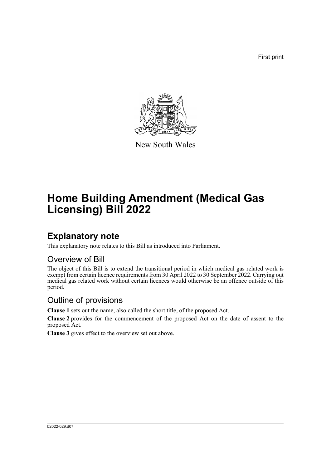First print



New South Wales

# **Home Building Amendment (Medical Gas Licensing) Bill 2022**

### **Explanatory note**

This explanatory note relates to this Bill as introduced into Parliament.

#### Overview of Bill

The object of this Bill is to extend the transitional period in which medical gas related work is exempt from certain licence requirements from 30 April 2022 to 30 September 2022. Carrying out medical gas related work without certain licences would otherwise be an offence outside of this period.

#### Outline of provisions

**Clause 1** sets out the name, also called the short title, of the proposed Act.

**Clause 2** provides for the commencement of the proposed Act on the date of assent to the proposed Act.

**Clause 3** gives effect to the overview set out above.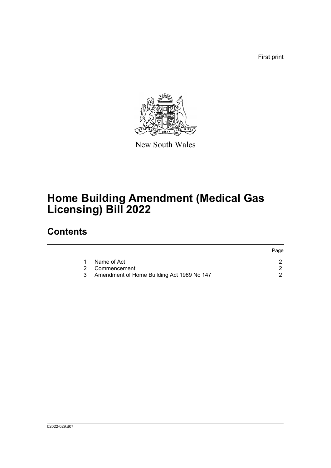First print



New South Wales

# **Home Building Amendment (Medical Gas Licensing) Bill 2022**

## **Contents**

|   |                                            | Page |
|---|--------------------------------------------|------|
|   | Name of Act                                |      |
|   | 2 Commencement                             |      |
| 3 | Amendment of Home Building Act 1989 No 147 |      |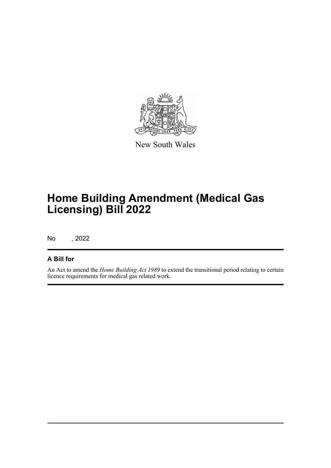

New South Wales

# **Home Building Amendment (Medical Gas Licensing) Bill 2022**

No , 2022

#### **A Bill for**

An Act to amend the *Home Building Act 1989* to extend the transitional period relating to certain licence requirements for medical gas related work.